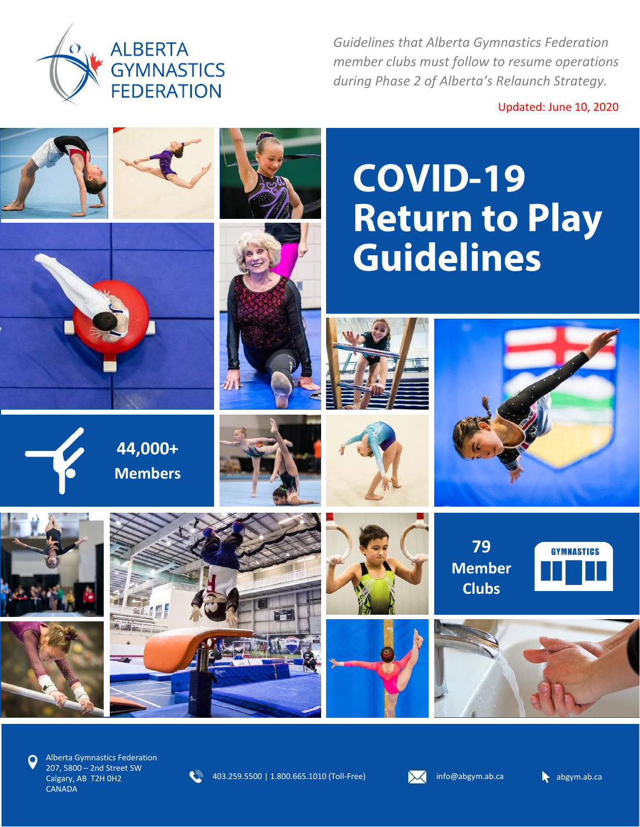

*Guidelines that Alberta Gymnastics Federation member clubs must follow to resume operations during Phase 2 of Alberta's Relaunch Strategy.*

Updated: June 10, 2020



Alberta Gymnastics Federation 207, 5800 – 2nd Street SW Calgary, AB T2H 0H2 **CANADA** 

403.259.5500 | 1.800.665.1010 (Toll-Free) **info@abgym.ab.ca** abgym.ab.ca abgym.ab.ca



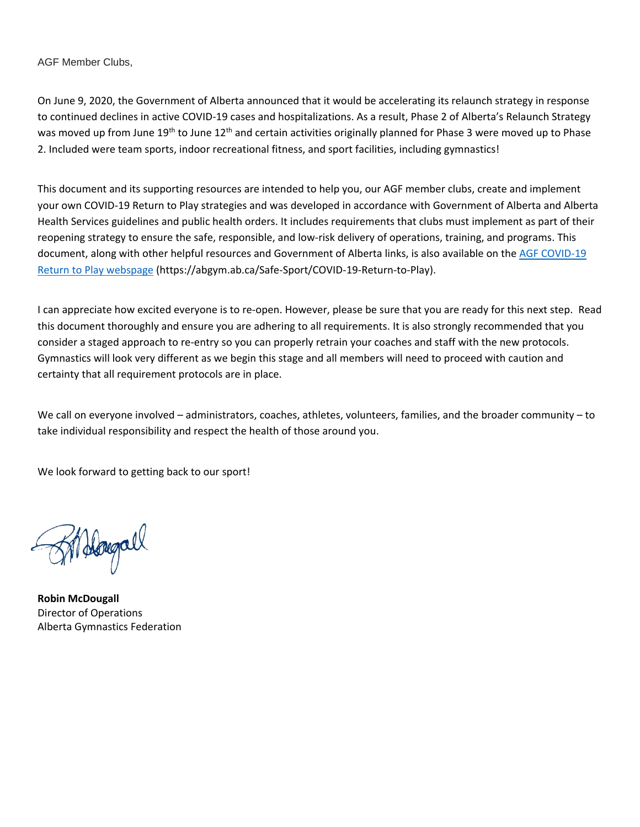AGF Member Clubs,

On June 9, 2020, the Government of Alberta announced that it would be accelerating its relaunch strategy in response to continued declines in active COVID-19 cases and hospitalizations. As a result, Phase 2 of Alberta's Relaunch Strategy was moved up from June 19<sup>th</sup> to June 12<sup>th</sup> and certain activities originally planned for Phase 3 were moved up to Phase 2. Included were team sports, indoor recreational fitness, and sport facilities, including gymnastics!

This document and its supporting resources are intended to help you, our AGF member clubs, create and implement your own COVID-19 Return to Play strategies and was developed in accordance with Government of Alberta and Alberta Health Services guidelines and public health orders. It includes requirements that clubs must implement as part of their reopening strategy to ensure the safe, responsible, and low-risk delivery of operations, training, and programs. This document, along with other helpful resources and Government of Alberta links, is also available on the [AGF COVID-19](AGF%20COVID-19%20Return%20to%20Play%20webspage)  [Return to Play webspage](AGF%20COVID-19%20Return%20to%20Play%20webspage) (https://abgym.ab.ca/Safe-Sport/COVID-19-Return-to-Play).

I can appreciate how excited everyone is to re-open. However, please be sure that you are ready for this next step. Read this document thoroughly and ensure you are adhering to all requirements. It is also strongly recommended that you consider a staged approach to re-entry so you can properly retrain your coaches and staff with the new protocols. Gymnastics will look very different as we begin this stage and all members will need to proceed with caution and certainty that all requirement protocols are in place.

We call on everyone involved – administrators, coaches, athletes, volunteers, families, and the broader community – to take individual responsibility and respect the health of those around you.

We look forward to getting back to our sport!

Sildayall

**Robin McDougall** Director of Operations Alberta Gymnastics Federation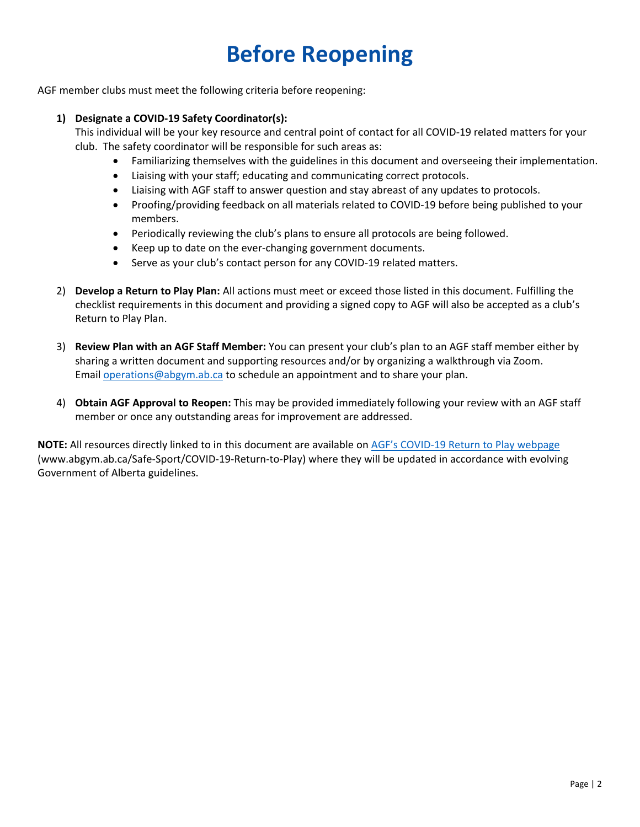# **Before Reopening**

AGF member clubs must meet the following criteria before reopening:

#### **1) Designate a COVID-19 Safety Coordinator(s):**

This individual will be your key resource and central point of contact for all COVID-19 related matters for your club. The safety coordinator will be responsible for such areas as:

- Familiarizing themselves with the guidelines in this document and overseeing their implementation.
- Liaising with your staff; educating and communicating correct protocols.
- Liaising with AGF staff to answer question and stay abreast of any updates to protocols.
- Proofing/providing feedback on all materials related to COVID-19 before being published to your members.
- Periodically reviewing the club's plans to ensure all protocols are being followed.
- Keep up to date on the ever-changing government documents.
- Serve as your club's contact person for any COVID-19 related matters.
- 2) **Develop a Return to Play Plan:** All actions must meet or exceed those listed in this document. Fulfilling the checklist requirements in this document and providing a signed copy to AGF will also be accepted as a club's Return to Play Plan.
- 3) **Review Plan with an AGF Staff Member:** You can present your club's plan to an AGF staff member either by sharing a written document and supporting resources and/or by organizing a walkthrough via Zoom. Email [operations@abgym.ab.ca](mailto:operations@abgym.ab.ca) to schedule an appointment and to share your plan.
- 4) **Obtain AGF Approval to Reopen:** This may be provided immediately following your review with an AGF staff member or once any outstanding areas for improvement are addressed.

**NOTE:** All resources directly linked to in this document are available on AGF's COVID[-19 Return to Play webpage](https://abgym.ab.ca/Safe-Sport/COVID-19-Return-to-Play) (www.abgym.ab.ca/Safe-Sport/COVID-19-Return-to-Play) where they will be updated in accordance with evolving Government of Alberta guidelines.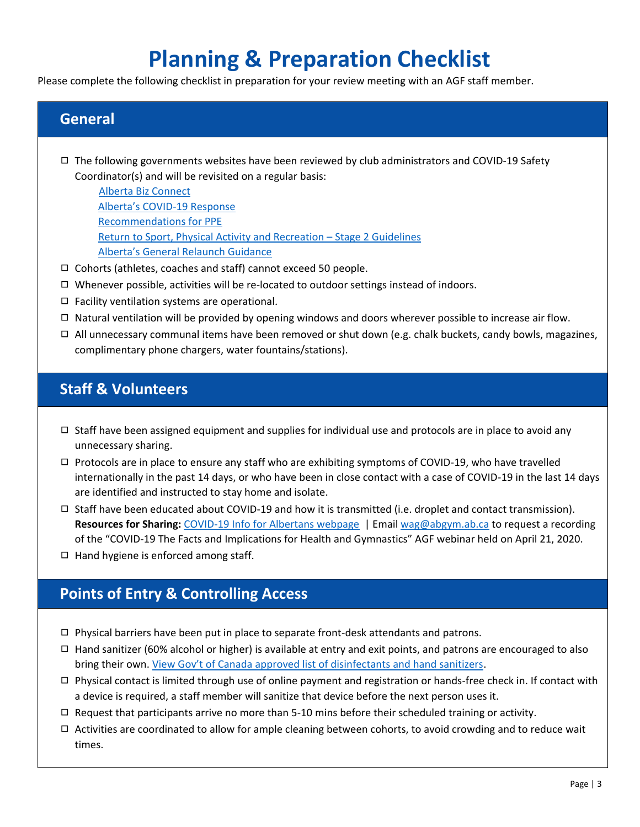## **Planning & Preparation Checklist**

Please complete the following checklist in preparation for your review meeting with an AGF staff member.

#### **General**

- ◻ The following governments websites have been reviewed by club administrators and COVID-19 Safety Coordinator(s) and will be revisited on a regular basis:
	- [Alberta Biz Connect](https://www.alberta.ca/biz-connect.aspx) [Alberta's COVID](https://www.alberta.ca/covid-19-information.aspx)-19 Response [Recommendations for PPE](https://www.canada.ca/en/public-health/services/diseases/2019-novel-coronavirus-infection/prevention-risks/about-non-medical-masks-face-coverings.html) Return to [Sport, Physical Activity and Recreation](https://www.alberta.ca/assets/documents/covid-19-relaunch-sports-physical-activity-and-recreation.pdf) – Stage 2 Guidelines [Alberta's General Relaunch Guidance](https://www.alberta.ca/assets/documents/covid-19-general-relaunch-guidance.pdf)
- ◻ Cohorts (athletes, coaches and staff) cannot exceed 50 people.
- ◻ Whenever possible, activities will be re-located to outdoor settings instead of indoors.
- ◻ Facility ventilation systems are operational.
- □ Natural ventilation will be provided by opening windows and doors wherever possible to increase air flow.
- $\Box$  All unnecessary communal items have been removed or shut down (e.g. chalk buckets, candy bowls, magazines, complimentary phone chargers, water fountains/stations).

#### **Staff & Volunteers**

- $\Box$  Staff have been assigned equipment and supplies for individual use and protocols are in place to avoid any unnecessary sharing.
- $\Box$  Protocols are in place to ensure any staff who are exhibiting symptoms of COVID-19, who have travelled internationally in the past 14 days, or who have been in close contact with a case of COVID-19 in the last 14 days are identified and instructed to stay home and isolate.
- □ Staff have been educated about COVID-19 and how it is transmitted (i.e. droplet and contact transmission). **Resources for Sharing:** [COVID-19 Info for Albertans webpage](https://www.alberta.ca/coronavirus-info-for-albertans.aspx) | Email [wag@abgym.ab.ca](mailto:wag@abgym.ab.ca) to request a recording of the "COVID-19 The Facts and Implications for Health and Gymnastics" AGF webinar held on April 21, 2020.
- ◻ Hand hygiene is enforced among staff.

## **Points of Entry & Controlling Access**

- $\Box$  Physical barriers have been put in place to separate front-desk attendants and patrons.
- ◻ Hand sanitizer (60% alcohol or higher) is available at entry and exit points, and patrons are encouraged to also bring their own. [View Gov't of Canada approved list of disinfectants and hand sanitizers](https://www.canada.ca/en/health-canada/services/drugs-health-products/disinfectants/covid-19/list.html).
- $\Box$  Physical contact is limited through use of online payment and registration or hands-free check in. If contact with a device is required, a staff member will sanitize that device before the next person uses it.
- $\Box$  Request that participants arrive no more than 5-10 mins before their scheduled training or activity.
- ◻ Activities are coordinated to allow for ample cleaning between cohorts, to avoid crowding and to reduce wait times.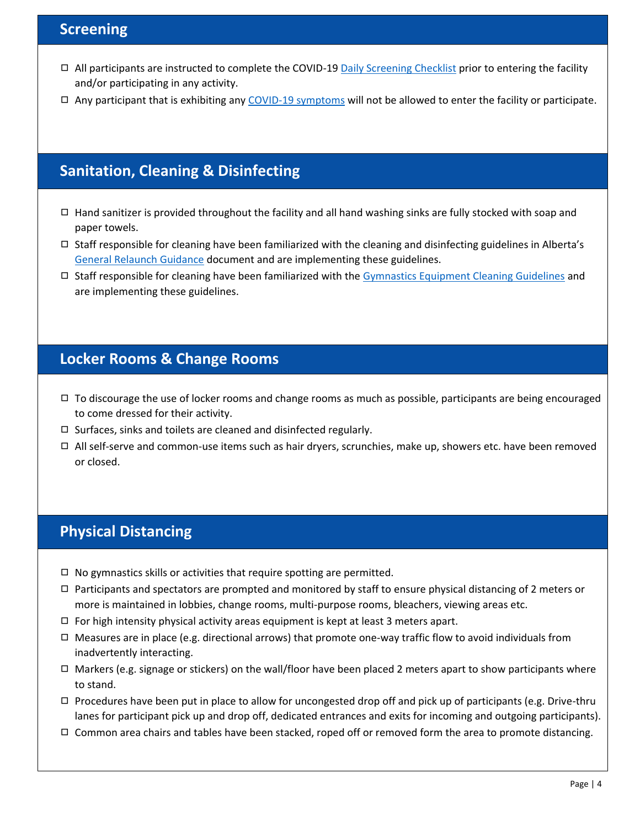### **Screening**

- □ All participants are instructed to complete the COVID-19 [Daily Screening Checklist](https://abgym.ab.ca/content/download/9982/66578/file/Daily%20Screening%20Checklist.pdf) prior to entering the facility and/or participating in any activity.
- ◻ Any participant that is exhibiting any [COVID-19 symptoms](https://www.alberta.ca/covid-19-testing-in-alberta.aspx#symptoms) will not be allowed to enter the facility or participate.

## **Sanitation, Cleaning & Disinfecting**

- □ Hand sanitizer is provided throughout the facility and all hand washing sinks are fully stocked with soap and paper towels.
- □ Staff responsible for cleaning have been familiarized with the cleaning and disinfecting guidelines in Alberta's [General Relaunch Guidance](https://www.alberta.ca/assets/documents/covid-19-general-relaunch-guidance.pdf) document and are implementing these guidelines.
- ◻ Staff responsible for cleaning have been familiarized with the [Gymnastics Equipment Cleaning Guidelines](https://online.flippingbook.com/view/107701/) and are implementing these guidelines.

#### **Locker Rooms & Change Rooms**

- $\Box$  To discourage the use of locker rooms and change rooms as much as possible, participants are being encouraged to come dressed for their activity.
- ◻ Surfaces, sinks and toilets are cleaned and disinfected regularly.
- ◻ All self-serve and common-use items such as hair dryers, scrunchies, make up, showers etc. have been removed or closed.

#### **Physical Distancing**

- $\Box$  No gymnastics skills or activities that require spotting are permitted.
- $\Box$  Participants and spectators are prompted and monitored by staff to ensure physical distancing of 2 meters or more is maintained in lobbies, change rooms, multi-purpose rooms, bleachers, viewing areas etc.
- $\Box$  For high intensity physical activity areas equipment is kept at least 3 meters apart.
- $\Box$  Measures are in place (e.g. directional arrows) that promote one-way traffic flow to avoid individuals from inadvertently interacting.
- □ Markers (e.g. signage or stickers) on the wall/floor have been placed 2 meters apart to show participants where to stand.
- $\Box$  Procedures have been put in place to allow for uncongested drop off and pick up of participants (e.g. Drive-thru lanes for participant pick up and drop off, dedicated entrances and exits for incoming and outgoing participants).
- ◻ Common area chairs and tables have been stacked, roped off or removed form the area to promote distancing.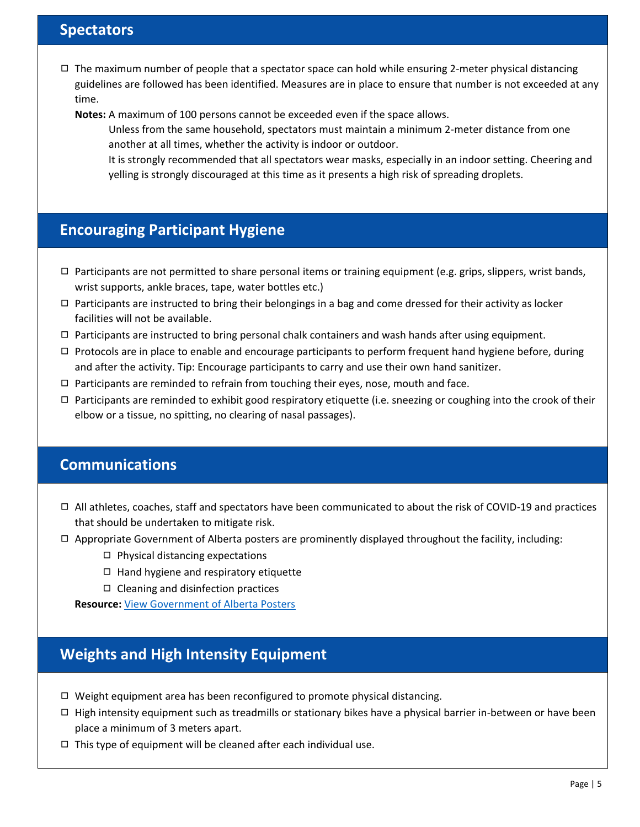#### **Spectators**

 $\Box$  The maximum number of people that a spectator space can hold while ensuring 2-meter physical distancing guidelines are followed has been identified. Measures are in place to ensure that number is not exceeded at any time.

**Notes:** A maximum of 100 persons cannot be exceeded even if the space allows.

 Unless from the same household, spectators must maintain a minimum 2-meter distance from one another at all times, whether the activity is indoor or outdoor.

 It is strongly recommended that all spectators wear masks, especially in an indoor setting. Cheering and yelling is strongly discouraged at this time as it presents a high risk of spreading droplets.

## **Encouraging Participant Hygiene**

- $\Box$  Participants are not permitted to share personal items or training equipment (e.g. grips, slippers, wrist bands, wrist supports, ankle braces, tape, water bottles etc.)
- $\Box$  Participants are instructed to bring their belongings in a bag and come dressed for their activity as locker facilities will not be available.
- $\Box$  Participants are instructed to bring personal chalk containers and wash hands after using equipment.
- $\Box$  Protocols are in place to enable and encourage participants to perform frequent hand hygiene before, during and after the activity. Tip: Encourage participants to carry and use their own hand sanitizer.
- $\Box$  Participants are reminded to refrain from touching their eyes, nose, mouth and face.
- $\Box$  Participants are reminded to exhibit good respiratory etiquette (i.e. sneezing or coughing into the crook of their elbow or a tissue, no spitting, no clearing of nasal passages).

#### **Communications**

- $\Box$  All athletes, coaches, staff and spectators have been communicated to about the risk of COVID-19 and practices that should be undertaken to mitigate risk.
- $\Box$  Appropriate Government of Alberta posters are prominently displayed throughout the facility, including:
	- ◻ Physical distancing expectations
	- ◻ Hand hygiene and respiratory etiquette
	- ◻ Cleaning and disinfection practices

**Resource:** [View Government of Alberta Posters](https://www.alberta.ca/covid-19-information-posters.aspx)

## **Weights and High Intensity Equipment**

- $\Box$  Weight equipment area has been reconfigured to promote physical distancing.
- $\Box$  High intensity equipment such as treadmills or stationary bikes have a physical barrier in-between or have been place a minimum of 3 meters apart.
- $\Box$  This type of equipment will be cleaned after each individual use.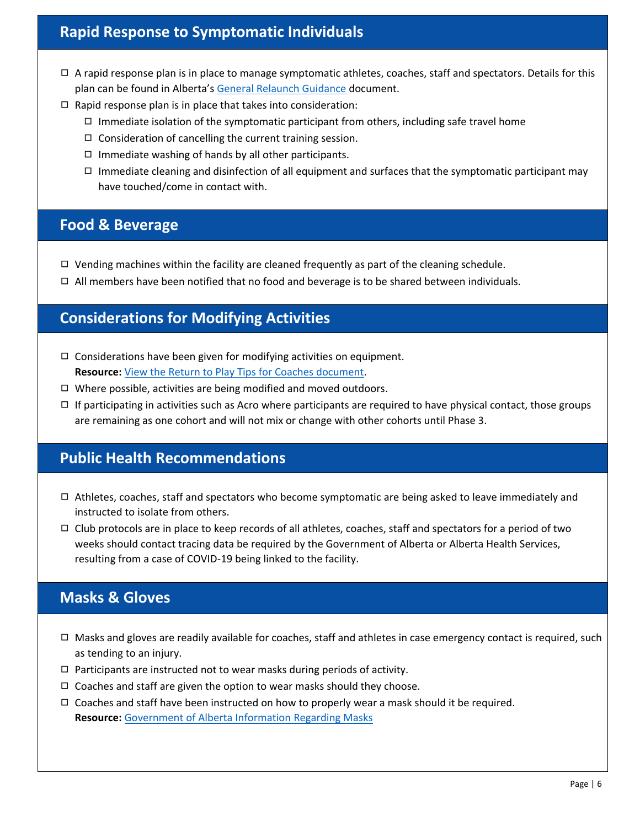## **Rapid Response to Symptomatic Individuals**

- $\Box$  A rapid response plan is in place to manage symptomatic athletes, coaches, staff and spectators. Details for this plan can be found in Alberta's [General Relaunch Guidance](https://www.alberta.ca/assets/documents/covid-19-general-relaunch-guidance.pdf) document.
- $\Box$  Rapid response plan is in place that takes into consideration:
	- $\Box$  Immediate isolation of the symptomatic participant from others, including safe travel home
	- ◻ Consideration of cancelling the current training session.
	- ◻ Immediate washing of hands by all other participants.
	- $\Box$  Immediate cleaning and disinfection of all equipment and surfaces that the symptomatic participant may have touched/come in contact with.

#### **Food & Beverage**

- $\Box$  Vending machines within the facility are cleaned frequently as part of the cleaning schedule.
- $\Box$  All members have been notified that no food and beverage is to be shared between individuals.

## **Considerations for Modifying Activities**

- $\Box$  Considerations have been given for modifying activities on equipment. **Resource:** View the [Return to Play Tips for Coaches document.](https://abgym.ab.ca/content/download/9983/66581/file/Return%20to%20Play%20Tips%20for%20Coaches.pdf)
- $\Box$  Where possible, activities are being modified and moved outdoors.
- $\Box$  If participating in activities such as Acro where participants are required to have physical contact, those groups are remaining as one cohort and will not mix or change with other cohorts until Phase 3.

## **Public Health Recommendations**

- $\Box$  Athletes, coaches, staff and spectators who become symptomatic are being asked to leave immediately and instructed to isolate from others.
- ◻ Club protocols are in place to keep records of all athletes, coaches, staff and spectators for a period of two weeks should contact tracing data be required by the Government of Alberta or Alberta Health Services, resulting from a case of COVID-19 being linked to the facility.

## **Masks & Gloves**

- $\Box$  Masks and gloves are readily available for coaches, staff and athletes in case emergency contact is required, such as tending to an injury.
- $\Box$  Participants are instructed not to wear masks during periods of activity.
- $\Box$  Coaches and staff are given the option to wear masks should they choose.
- $\Box$  Coaches and staff have been instructed on how to properly wear a mask should it be required. **Resource:** [Government of Alberta Information Regarding Masks](https://www.alberta.ca/masks.aspx)